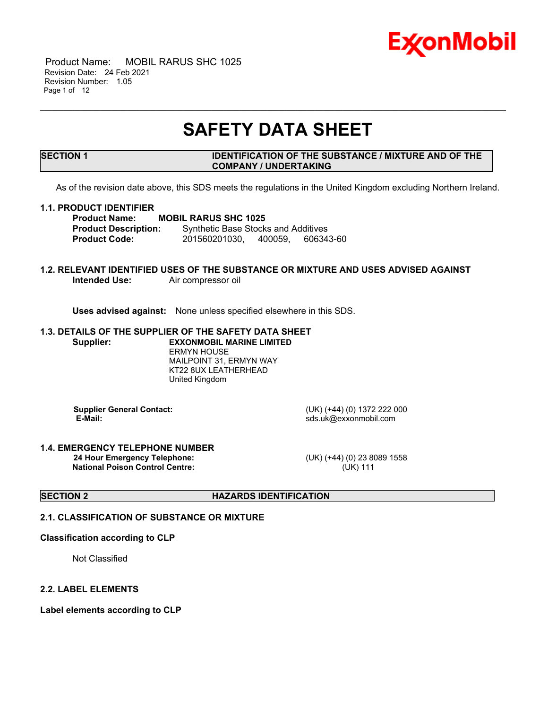

 Product Name: MOBIL RARUS SHC 1025 Revision Date: 24 Feb 2021 Revision Number: 1.05 Page 1 of 12

## **SAFETY DATA SHEET**

\_\_\_\_\_\_\_\_\_\_\_\_\_\_\_\_\_\_\_\_\_\_\_\_\_\_\_\_\_\_\_\_\_\_\_\_\_\_\_\_\_\_\_\_\_\_\_\_\_\_\_\_\_\_\_\_\_\_\_\_\_\_\_\_\_\_\_\_\_\_\_\_\_\_\_\_\_\_\_\_\_\_\_\_\_\_\_\_\_\_\_\_\_\_\_\_\_\_\_\_\_\_\_\_\_\_\_\_\_\_\_\_\_\_\_\_\_

#### **SECTION 1 IDENTIFICATION OF THE SUBSTANCE / MIXTURE AND OF THE COMPANY / UNDERTAKING**

As of the revision date above, this SDS meets the regulations in the United Kingdom excluding Northern Ireland.

#### **1.1. PRODUCT IDENTIFIER**

**Product Name: MOBIL RARUS SHC 1025 Product Description:** Synthetic Base Stocks and Additives **Product Code:** 201560201030, 400059, 606343-60

#### **1.2. RELEVANT IDENTIFIED USES OF THE SUBSTANCE OR MIXTURE AND USES ADVISED AGAINST** Air compressor oil

**Uses advised against:** None unless specified elsewhere in this SDS.

#### **1.3. DETAILS OF THE SUPPLIER OF THE SAFETY DATA SHEET Supplier: EXXONMOBIL MARINE LIMITED** ERMYN HOUSE MAILPOINT 31, ERMYN WAY

KT22 8UX LEATHERHEAD United Kingdom

**Supplier General Contact:** (UK) (+44) (0) 1372 222 000<br> **E-Mail:** sds.uk@exxonmobil.com

 **E-Mail:** sds.uk@exxonmobil.com

#### **1.4. EMERGENCY TELEPHONE NUMBER 24 Hour Emergency Telephone:** (UK) (+44) (0) 23 8089 1558 **National Poison Control Centre:** (UK) 111

#### **SECTION 2 HAZARDS IDENTIFICATION**

### **2.1. CLASSIFICATION OF SUBSTANCE OR MIXTURE**

#### **Classification according to CLP**

Not Classified

#### **2.2. LABEL ELEMENTS**

**Label elements according to CLP**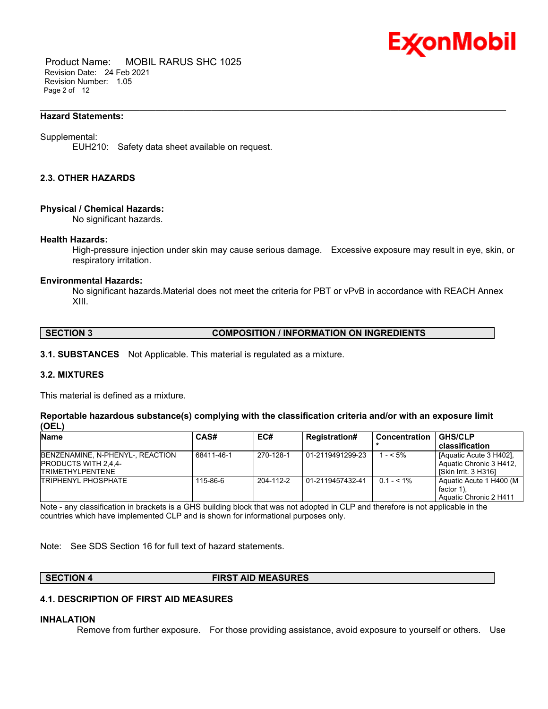

 Product Name: MOBIL RARUS SHC 1025 Revision Date: 24 Feb 2021 Revision Number: 1.05 Page 2 of 12

#### **Hazard Statements:**

#### Supplemental:

EUH210: Safety data sheet available on request.

#### **2.3. OTHER HAZARDS**

#### **Physical / Chemical Hazards:**

No significant hazards.

#### **Health Hazards:**

High-pressure injection under skin may cause serious damage. Excessive exposure may result in eye, skin, or respiratory irritation.

\_\_\_\_\_\_\_\_\_\_\_\_\_\_\_\_\_\_\_\_\_\_\_\_\_\_\_\_\_\_\_\_\_\_\_\_\_\_\_\_\_\_\_\_\_\_\_\_\_\_\_\_\_\_\_\_\_\_\_\_\_\_\_\_\_\_\_\_\_\_\_\_\_\_\_\_\_\_\_\_\_\_\_\_\_\_\_\_\_\_\_\_\_\_\_\_\_\_\_\_\_\_\_\_\_\_\_\_\_\_\_\_\_\_\_\_\_

#### **Environmental Hazards:**

No significant hazards.Material does not meet the criteria for PBT or vPvB in accordance with REACH Annex XIII.

#### **SECTION 3 COMPOSITION / INFORMATION ON INGREDIENTS**

**3.1. SUBSTANCES** Not Applicable. This material is regulated as a mixture.

#### **3.2. MIXTURES**

This material is defined as a mixture.

#### **Reportable hazardous substance(s) complying with the classification criteria and/or with an exposure limit (OEL)**

| <b>Name</b>                                                                                | <b>CAS#</b> | EC#       | <b>Registration#</b> | Concentration | <b>GHS/CLP</b>                                                               |
|--------------------------------------------------------------------------------------------|-------------|-----------|----------------------|---------------|------------------------------------------------------------------------------|
|                                                                                            |             |           |                      |               | classification                                                               |
| BENZENAMINE, N-PHENYL-, REACTION<br><b>PRODUCTS WITH 2,4,4-</b><br><b>TRIMETHYLPENTENE</b> | 68411-46-1  | 270-128-1 | 01-2119491299-23     | 1 - < 5%      | l [Aquatic Acute 3 H402].<br>Aquatic Chronic 3 H412.<br>ISkin Irrit. 3 H3161 |
| <b>TRIPHENYL PHOSPHATE</b>                                                                 | 115-86-6    | 204-112-2 | 01-2119457432-41     | $0.1 - 5.1\%$ | Aquatic Acute 1 H400 (M  <br>factor 1).<br>Aquatic Chronic 2 H411            |

Note - any classification in brackets is a GHS building block that was not adopted in CLP and therefore is not applicable in the countries which have implemented CLP and is shown for informational purposes only.

Note: See SDS Section 16 for full text of hazard statements.

**SECTION 4 FIRST AID MEASURES**

#### **4.1. DESCRIPTION OF FIRST AID MEASURES**

#### **INHALATION**

Remove from further exposure. For those providing assistance, avoid exposure to yourself or others. Use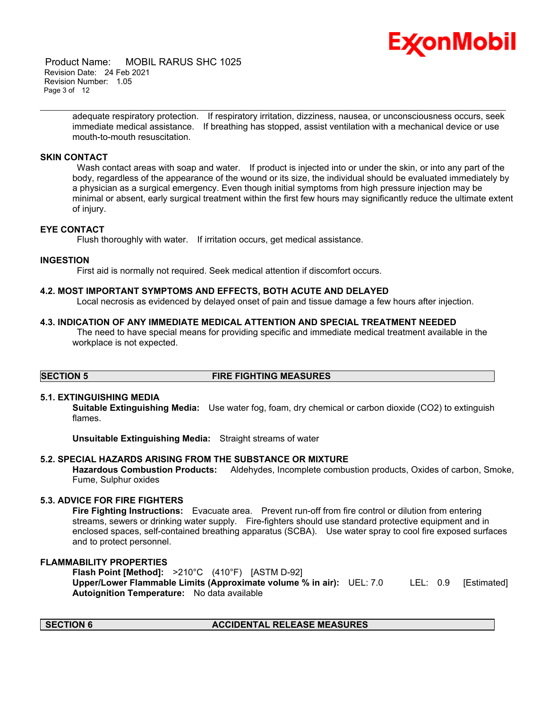# Ex⁄onMobil

 Product Name: MOBIL RARUS SHC 1025 Revision Date: 24 Feb 2021 Revision Number: 1.05 Page 3 of 12

> adequate respiratory protection. If respiratory irritation, dizziness, nausea, or unconsciousness occurs, seek immediate medical assistance. If breathing has stopped, assist ventilation with a mechanical device or use mouth-to-mouth resuscitation.

\_\_\_\_\_\_\_\_\_\_\_\_\_\_\_\_\_\_\_\_\_\_\_\_\_\_\_\_\_\_\_\_\_\_\_\_\_\_\_\_\_\_\_\_\_\_\_\_\_\_\_\_\_\_\_\_\_\_\_\_\_\_\_\_\_\_\_\_\_\_\_\_\_\_\_\_\_\_\_\_\_\_\_\_\_\_\_\_\_\_\_\_\_\_\_\_\_\_\_\_\_\_\_\_\_\_\_\_\_\_\_\_\_\_\_\_\_

#### **SKIN CONTACT**

Wash contact areas with soap and water. If product is injected into or under the skin, or into any part of the body, regardless of the appearance of the wound or its size, the individual should be evaluated immediately by a physician as a surgical emergency. Even though initial symptoms from high pressure injection may be minimal or absent, early surgical treatment within the first few hours may significantly reduce the ultimate extent of injury.

#### **EYE CONTACT**

Flush thoroughly with water. If irritation occurs, get medical assistance.

#### **INGESTION**

First aid is normally not required. Seek medical attention if discomfort occurs.

#### **4.2. MOST IMPORTANT SYMPTOMS AND EFFECTS, BOTH ACUTE AND DELAYED**

Local necrosis as evidenced by delayed onset of pain and tissue damage a few hours after injection.

#### **4.3. INDICATION OF ANY IMMEDIATE MEDICAL ATTENTION AND SPECIAL TREATMENT NEEDED**

 The need to have special means for providing specific and immediate medical treatment available in the workplace is not expected.

### **SECTION 5 FIRE FIGHTING MEASURES**

#### **5.1. EXTINGUISHING MEDIA**

**Suitable Extinguishing Media:** Use water fog, foam, dry chemical or carbon dioxide (CO2) to extinguish flames.

**Unsuitable Extinguishing Media:** Straight streams of water

### **5.2. SPECIAL HAZARDS ARISING FROM THE SUBSTANCE OR MIXTURE**

**Hazardous Combustion Products:** Aldehydes, Incomplete combustion products, Oxides of carbon, Smoke, Fume, Sulphur oxides

### **5.3. ADVICE FOR FIRE FIGHTERS**

**Fire Fighting Instructions:** Evacuate area. Prevent run-off from fire control or dilution from entering streams, sewers or drinking water supply. Fire-fighters should use standard protective equipment and in enclosed spaces, self-contained breathing apparatus (SCBA). Use water spray to cool fire exposed surfaces and to protect personnel.

#### **FLAMMABILITY PROPERTIES**

**Flash Point [Method]:** >210°C (410°F) [ASTM D-92] **Upper/Lower Flammable Limits (Approximate volume % in air):** UEL: 7.0 LEL: 0.9 [Estimated] **Autoignition Temperature:** No data available

### **SECTION 6 ACCIDENTAL RELEASE MEASURES**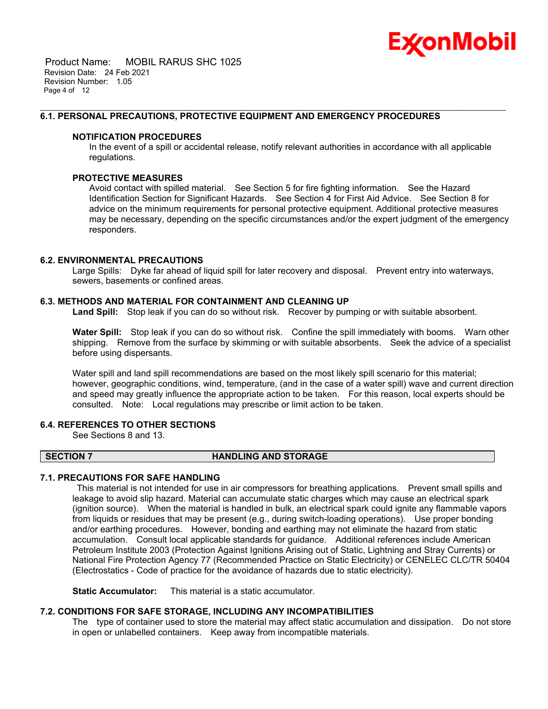

 Product Name: MOBIL RARUS SHC 1025 Revision Date: 24 Feb 2021 Revision Number: 1.05 Page 4 of 12

#### **6.1. PERSONAL PRECAUTIONS, PROTECTIVE EQUIPMENT AND EMERGENCY PROCEDURES**

#### **NOTIFICATION PROCEDURES**

In the event of a spill or accidental release, notify relevant authorities in accordance with all applicable regulations.

\_\_\_\_\_\_\_\_\_\_\_\_\_\_\_\_\_\_\_\_\_\_\_\_\_\_\_\_\_\_\_\_\_\_\_\_\_\_\_\_\_\_\_\_\_\_\_\_\_\_\_\_\_\_\_\_\_\_\_\_\_\_\_\_\_\_\_\_\_\_\_\_\_\_\_\_\_\_\_\_\_\_\_\_\_\_\_\_\_\_\_\_\_\_\_\_\_\_\_\_\_\_\_\_\_\_\_\_\_\_\_\_\_\_\_\_\_

#### **PROTECTIVE MEASURES**

Avoid contact with spilled material. See Section 5 for fire fighting information. See the Hazard Identification Section for Significant Hazards. See Section 4 for First Aid Advice. See Section 8 for advice on the minimum requirements for personal protective equipment. Additional protective measures may be necessary, depending on the specific circumstances and/or the expert judgment of the emergency responders.

#### **6.2. ENVIRONMENTAL PRECAUTIONS**

Large Spills: Dyke far ahead of liquid spill for later recovery and disposal. Prevent entry into waterways, sewers, basements or confined areas.

#### **6.3. METHODS AND MATERIAL FOR CONTAINMENT AND CLEANING UP**

**Land Spill:** Stop leak if you can do so without risk. Recover by pumping or with suitable absorbent.

**Water Spill:** Stop leak if you can do so without risk. Confine the spill immediately with booms. Warn other shipping. Remove from the surface by skimming or with suitable absorbents. Seek the advice of a specialist before using dispersants.

Water spill and land spill recommendations are based on the most likely spill scenario for this material; however, geographic conditions, wind, temperature, (and in the case of a water spill) wave and current direction and speed may greatly influence the appropriate action to be taken. For this reason, local experts should be consulted. Note: Local regulations may prescribe or limit action to be taken.

### **6.4. REFERENCES TO OTHER SECTIONS**

See Sections 8 and 13.

#### **SECTION 7 HANDLING AND STORAGE**

### **7.1. PRECAUTIONS FOR SAFE HANDLING**

 This material is not intended for use in air compressors for breathing applications. Prevent small spills and leakage to avoid slip hazard. Material can accumulate static charges which may cause an electrical spark (ignition source). When the material is handled in bulk, an electrical spark could ignite any flammable vapors from liquids or residues that may be present (e.g., during switch-loading operations). Use proper bonding and/or earthing procedures. However, bonding and earthing may not eliminate the hazard from static accumulation. Consult local applicable standards for guidance. Additional references include American Petroleum Institute 2003 (Protection Against Ignitions Arising out of Static, Lightning and Stray Currents) or National Fire Protection Agency 77 (Recommended Practice on Static Electricity) or CENELEC CLC/TR 50404 (Electrostatics - Code of practice for the avoidance of hazards due to static electricity).

**Static Accumulator:** This material is a static accumulator.

#### **7.2. CONDITIONS FOR SAFE STORAGE, INCLUDING ANY INCOMPATIBILITIES**

The type of container used to store the material may affect static accumulation and dissipation. Do not store in open or unlabelled containers. Keep away from incompatible materials.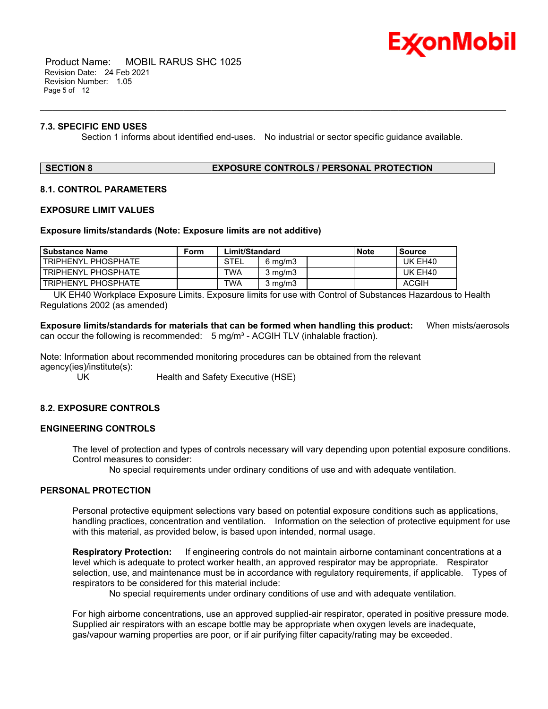

 Product Name: MOBIL RARUS SHC 1025 Revision Date: 24 Feb 2021 Revision Number: 1.05 Page 5 of 12

#### **7.3. SPECIFIC END USES**

Section 1 informs about identified end-uses. No industrial or sector specific guidance available.

\_\_\_\_\_\_\_\_\_\_\_\_\_\_\_\_\_\_\_\_\_\_\_\_\_\_\_\_\_\_\_\_\_\_\_\_\_\_\_\_\_\_\_\_\_\_\_\_\_\_\_\_\_\_\_\_\_\_\_\_\_\_\_\_\_\_\_\_\_\_\_\_\_\_\_\_\_\_\_\_\_\_\_\_\_\_\_\_\_\_\_\_\_\_\_\_\_\_\_\_\_\_\_\_\_\_\_\_\_\_\_\_\_\_\_\_\_

#### **SECTION 8 EXPOSURE CONTROLS / PERSONAL PROTECTION**

#### **8.1. CONTROL PARAMETERS**

#### **EXPOSURE LIMIT VALUES**

#### **Exposure limits/standards (Note: Exposure limits are not additive)**

| <b>Substance Name</b>      | Form | Limit/Standard |                  | <b>Note</b> | Source |              |
|----------------------------|------|----------------|------------------|-------------|--------|--------------|
| <b>TRIPHENYL PHOSPHATE</b> |      | STEL           | $6 \text{ mg/m}$ |             |        | UK EH40      |
| <b>TRIPHENYL PHOSPHATE</b> |      | TWA            | $3 \text{ mg/m}$ |             |        | UK EH40      |
| I TRIPHENYL PHOSPHATE      |      | TWA            | $3$ mg/m $3$     |             |        | <b>ACGIH</b> |

 UK EH40 Workplace Exposure Limits. Exposure limits for use with Control of Substances Hazardous to Health Regulations 2002 (as amended)

**Exposure limits/standards for materials that can be formed when handling this product:** When mists/aerosols can occur the following is recommended:  $5 \text{ mg/m}^3$  - ACGIH TLV (inhalable fraction).

Note: Information about recommended monitoring procedures can be obtained from the relevant agency(ies)/institute(s):

UK Health and Safety Executive (HSE)

### **8.2. EXPOSURE CONTROLS**

### **ENGINEERING CONTROLS**

The level of protection and types of controls necessary will vary depending upon potential exposure conditions. Control measures to consider:

No special requirements under ordinary conditions of use and with adequate ventilation.

#### **PERSONAL PROTECTION**

Personal protective equipment selections vary based on potential exposure conditions such as applications, handling practices, concentration and ventilation. Information on the selection of protective equipment for use with this material, as provided below, is based upon intended, normal usage.

**Respiratory Protection:** If engineering controls do not maintain airborne contaminant concentrations at a level which is adequate to protect worker health, an approved respirator may be appropriate. Respirator selection, use, and maintenance must be in accordance with regulatory requirements, if applicable. Types of respirators to be considered for this material include:

No special requirements under ordinary conditions of use and with adequate ventilation.

For high airborne concentrations, use an approved supplied-air respirator, operated in positive pressure mode. Supplied air respirators with an escape bottle may be appropriate when oxygen levels are inadequate, gas/vapour warning properties are poor, or if air purifying filter capacity/rating may be exceeded.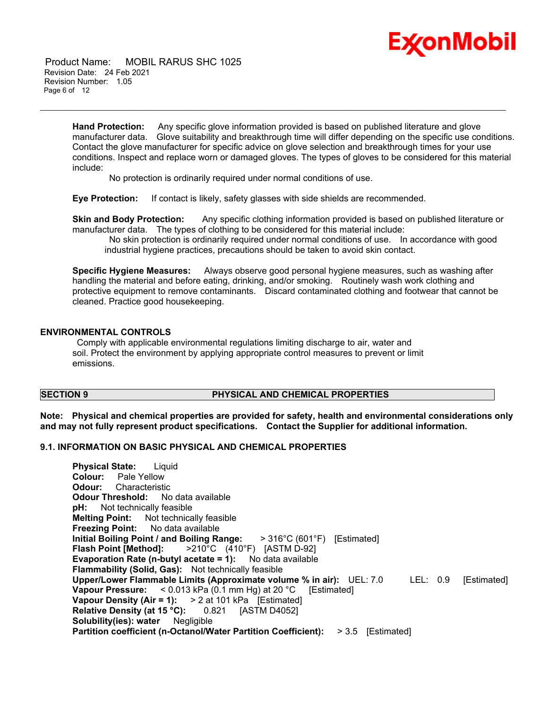

 Product Name: MOBIL RARUS SHC 1025 Revision Date: 24 Feb 2021 Revision Number: 1.05 Page 6 of 12

> **Hand Protection:** Any specific glove information provided is based on published literature and glove manufacturer data. Glove suitability and breakthrough time will differ depending on the specific use conditions. Contact the glove manufacturer for specific advice on glove selection and breakthrough times for your use conditions. Inspect and replace worn or damaged gloves. The types of gloves to be considered for this material include:

\_\_\_\_\_\_\_\_\_\_\_\_\_\_\_\_\_\_\_\_\_\_\_\_\_\_\_\_\_\_\_\_\_\_\_\_\_\_\_\_\_\_\_\_\_\_\_\_\_\_\_\_\_\_\_\_\_\_\_\_\_\_\_\_\_\_\_\_\_\_\_\_\_\_\_\_\_\_\_\_\_\_\_\_\_\_\_\_\_\_\_\_\_\_\_\_\_\_\_\_\_\_\_\_\_\_\_\_\_\_\_\_\_\_\_\_\_

No protection is ordinarily required under normal conditions of use.

**Eye Protection:** If contact is likely, safety glasses with side shields are recommended.

**Skin and Body Protection:** Any specific clothing information provided is based on published literature or manufacturer data. The types of clothing to be considered for this material include:

 No skin protection is ordinarily required under normal conditions of use. In accordance with good industrial hygiene practices, precautions should be taken to avoid skin contact.

**Specific Hygiene Measures:** Always observe good personal hygiene measures, such as washing after handling the material and before eating, drinking, and/or smoking. Routinely wash work clothing and protective equipment to remove contaminants. Discard contaminated clothing and footwear that cannot be cleaned. Practice good housekeeping.

#### **ENVIRONMENTAL CONTROLS**

 Comply with applicable environmental regulations limiting discharge to air, water and soil. Protect the environment by applying appropriate control measures to prevent or limit emissions.

### **SECTION 9 PHYSICAL AND CHEMICAL PROPERTIES**

**Note: Physical and chemical properties are provided for safety, health and environmental considerations only and may not fully represent product specifications. Contact the Supplier for additional information.**

#### **9.1. INFORMATION ON BASIC PHYSICAL AND CHEMICAL PROPERTIES**

**Physical State:** Liquid **Colour:** Pale Yellow **Odour:** Characteristic **Odour Threshold:** No data available **pH:** Not technically feasible **Melting Point:** Not technically feasible **Freezing Point:** No data available **Initial Boiling Point / and Boiling Range:** > 316°C (601°F) [Estimated] **Flash Point [Method]:** >210°C (410°F) [ASTM D-92] **Evaporation Rate (n-butyl acetate = 1):** No data available **Flammability (Solid, Gas):** Not technically feasible **Upper/Lower Flammable Limits (Approximate volume % in air):** UEL: 7.0 LEL: 0.9 [Estimated] **Vapour Pressure:** < 0.013 kPa (0.1 mm Hg) at 20 °C [Estimated] **Vapour Density (Air = 1):** > 2 at 101 kPa [Estimated] **Relative Density (at 15 °C):** 0.821 [ASTM D4052] **Solubility(ies): water** Negligible **Partition coefficient (n-Octanol/Water Partition Coefficient):** > 3.5 [Estimated]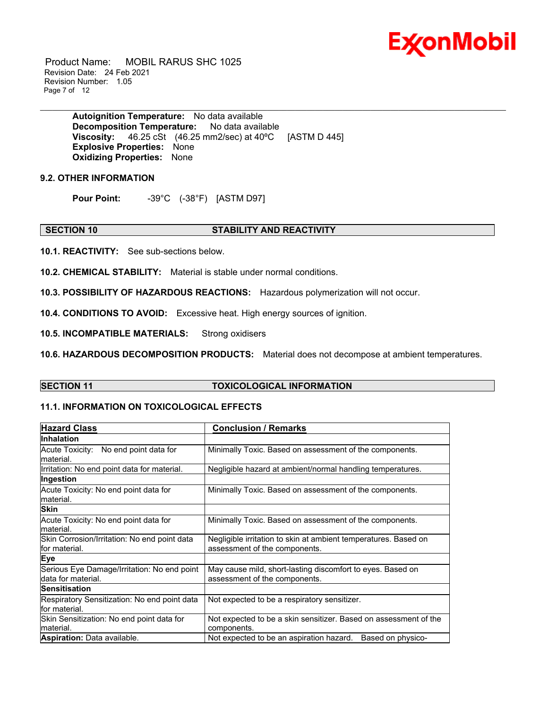

 Product Name: MOBIL RARUS SHC 1025 Revision Date: 24 Feb 2021 Revision Number: 1.05 Page 7 of 12

> **Autoignition Temperature:** No data available **Decomposition Temperature:** No data available **Viscosity:** 46.25 cSt (46.25 mm2/sec) at 40ºC [ASTM D 445] **Explosive Properties:** None **Oxidizing Properties:** None

#### **9.2. OTHER INFORMATION**

**Pour Point:** -39°C (-38°F) [ASTM D97]

#### **SECTION 10 STABILITY AND REACTIVITY**

**10.1. REACTIVITY:** See sub-sections below.

**10.2. CHEMICAL STABILITY:** Material is stable under normal conditions.

**10.3. POSSIBILITY OF HAZARDOUS REACTIONS:** Hazardous polymerization will not occur.

**10.4. CONDITIONS TO AVOID:** Excessive heat. High energy sources of ignition.

**10.5. INCOMPATIBLE MATERIALS:** Strong oxidisers

**10.6. HAZARDOUS DECOMPOSITION PRODUCTS:** Material does not decompose at ambient temperatures.

#### **SECTION 11 TOXICOLOGICAL INFORMATION**

\_\_\_\_\_\_\_\_\_\_\_\_\_\_\_\_\_\_\_\_\_\_\_\_\_\_\_\_\_\_\_\_\_\_\_\_\_\_\_\_\_\_\_\_\_\_\_\_\_\_\_\_\_\_\_\_\_\_\_\_\_\_\_\_\_\_\_\_\_\_\_\_\_\_\_\_\_\_\_\_\_\_\_\_\_\_\_\_\_\_\_\_\_\_\_\_\_\_\_\_\_\_\_\_\_\_\_\_\_\_\_\_\_\_\_\_\_

#### **11.1. INFORMATION ON TOXICOLOGICAL EFFECTS**

| <b>Hazard Class</b>                                                | <b>Conclusion / Remarks</b>                                                                      |  |  |  |
|--------------------------------------------------------------------|--------------------------------------------------------------------------------------------------|--|--|--|
| <b>Inhalation</b>                                                  |                                                                                                  |  |  |  |
| Acute Toxicity: No end point data for<br>lmaterial.                | Minimally Toxic. Based on assessment of the components.                                          |  |  |  |
| Irritation: No end point data for material.                        | Negligible hazard at ambient/normal handling temperatures.                                       |  |  |  |
| Ingestion                                                          |                                                                                                  |  |  |  |
| Acute Toxicity: No end point data for<br>lmaterial.                | Minimally Toxic. Based on assessment of the components.                                          |  |  |  |
| <b>Skin</b>                                                        |                                                                                                  |  |  |  |
| Acute Toxicity: No end point data for<br>lmaterial.                | Minimally Toxic. Based on assessment of the components.                                          |  |  |  |
| Skin Corrosion/Irritation: No end point data<br>lfor material.     | Negligible irritation to skin at ambient temperatures. Based on<br>assessment of the components. |  |  |  |
| Eye                                                                |                                                                                                  |  |  |  |
| Serious Eye Damage/Irritation: No end point<br>Idata for material. | May cause mild, short-lasting discomfort to eyes. Based on<br>assessment of the components.      |  |  |  |
| <b>Sensitisation</b>                                               |                                                                                                  |  |  |  |
| Respiratory Sensitization: No end point data<br>lfor material.     | Not expected to be a respiratory sensitizer.                                                     |  |  |  |
| Skin Sensitization: No end point data for<br>lmaterial.            | Not expected to be a skin sensitizer. Based on assessment of the<br>components.                  |  |  |  |
| <b>Aspiration:</b> Data available.                                 | Not expected to be an aspiration hazard.<br>Based on physico-                                    |  |  |  |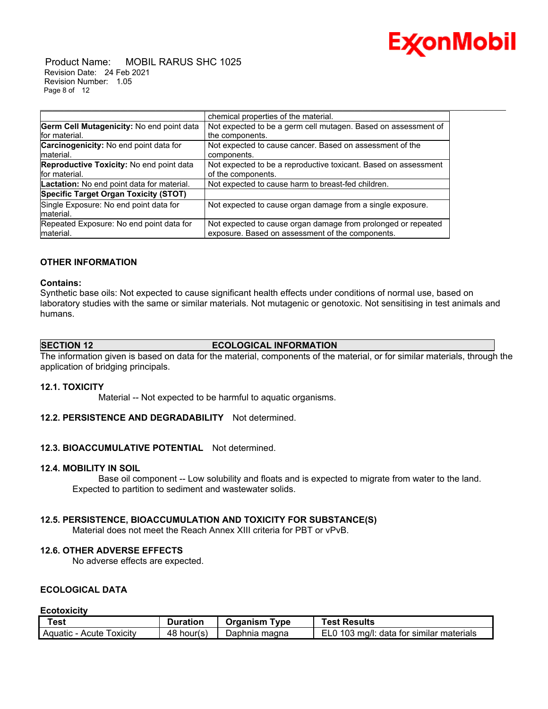

 Product Name: MOBIL RARUS SHC 1025 Revision Date: 24 Feb 2021 Revision Number: 1.05 Page 8 of 12

|                                              | chemical properties of the material.                            |
|----------------------------------------------|-----------------------------------------------------------------|
| Germ Cell Mutagenicity: No end point data    | Not expected to be a germ cell mutagen. Based on assessment of  |
| for material.                                | the components.                                                 |
| Carcinogenicity: No end point data for       | Not expected to cause cancer. Based on assessment of the        |
| lmaterial.                                   | components.                                                     |
| Reproductive Toxicity: No end point data     | Not expected to be a reproductive toxicant. Based on assessment |
| for material.                                | of the components.                                              |
| Lactation: No end point data for material.   | Not expected to cause harm to breast-fed children.              |
| <b>Specific Target Organ Toxicity (STOT)</b> |                                                                 |
| Single Exposure: No end point data for       | Not expected to cause organ damage from a single exposure.      |
| lmaterial.                                   |                                                                 |
| Repeated Exposure: No end point data for     | Not expected to cause organ damage from prolonged or repeated   |
| material.                                    | exposure. Based on assessment of the components.                |

#### **OTHER INFORMATION**

#### **Contains:**

Synthetic base oils: Not expected to cause significant health effects under conditions of normal use, based on laboratory studies with the same or similar materials. Not mutagenic or genotoxic. Not sensitising in test animals and humans.

\_\_\_\_\_\_\_\_\_\_\_\_\_\_\_\_\_\_\_\_\_\_\_\_\_\_\_\_\_\_\_\_\_\_\_\_\_\_\_\_\_\_\_\_\_\_\_\_\_\_\_\_\_\_\_\_\_\_\_\_\_\_\_\_\_\_\_\_\_\_\_\_\_\_\_\_\_\_\_\_\_\_\_\_\_\_\_\_\_\_\_\_\_\_\_\_\_\_\_\_\_\_\_\_\_\_\_\_\_\_\_\_\_\_\_\_\_

#### **SECTION 12 ECOLOGICAL INFORMATION**

The information given is based on data for the material, components of the material, or for similar materials, through the application of bridging principals.

#### **12.1. TOXICITY**

Material -- Not expected to be harmful to aquatic organisms.

#### **12.2. PERSISTENCE AND DEGRADABILITY** Not determined.

### **12.3. BIOACCUMULATIVE POTENTIAL** Not determined.

#### **12.4. MOBILITY IN SOIL**

 Base oil component -- Low solubility and floats and is expected to migrate from water to the land. Expected to partition to sediment and wastewater solids.

#### **12.5. PERSISTENCE, BIOACCUMULATION AND TOXICITY FOR SUBSTANCE(S)**

Material does not meet the Reach Annex XIII criteria for PBT or vPvB.

#### **12.6. OTHER ADVERSE EFFECTS**

No adverse effects are expected.

### **ECOLOGICAL DATA**

**Ecotoxicity**

| Test                               | Duration   | Organism<br>Tvpe | <b>Test Results</b>                      |
|------------------------------------|------------|------------------|------------------------------------------|
| <b>Toxicity</b><br>Aquatic - Acute | 48 hour(s) | Daphnia magna    | EL0 103 mg/l: data for similar materials |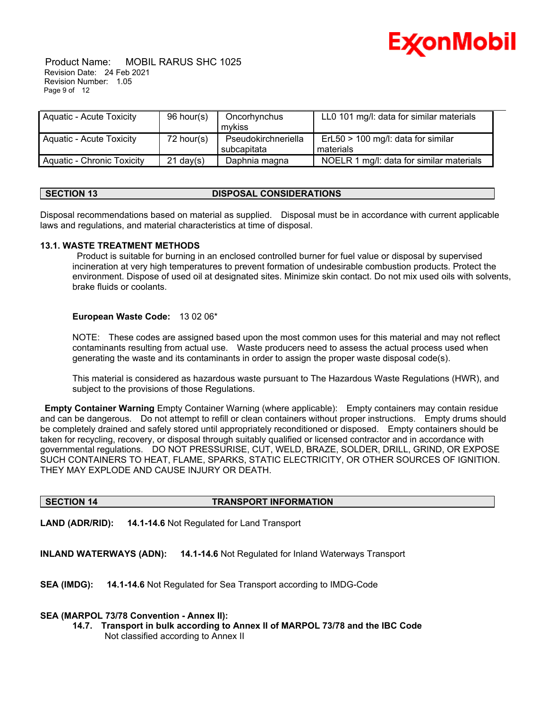

 Product Name: MOBIL RARUS SHC 1025 Revision Date: 24 Feb 2021 Revision Number: 1.05 Page 9 of 12

| Aquatic - Acute Toxicity   | 96 hour(s)          | Oncorhynchus        | LL0 101 mg/l: data for similar materials |  |
|----------------------------|---------------------|---------------------|------------------------------------------|--|
|                            |                     | mvkiss              |                                          |  |
| Aquatic - Acute Toxicity   | $72$ hour(s)        | Pseudokirchneriella | $ErL50 > 100$ mg/l: data for similar     |  |
|                            |                     | subcapitata         | materials                                |  |
| Aquatic - Chronic Toxicity | $21 \text{ day}(s)$ | Daphnia magna       | NOELR 1 mg/l: data for similar materials |  |

#### **SECTION 13 DISPOSAL CONSIDERATIONS**

Disposal recommendations based on material as supplied. Disposal must be in accordance with current applicable laws and regulations, and material characteristics at time of disposal.

#### **13.1. WASTE TREATMENT METHODS**

 Product is suitable for burning in an enclosed controlled burner for fuel value or disposal by supervised incineration at very high temperatures to prevent formation of undesirable combustion products. Protect the environment. Dispose of used oil at designated sites. Minimize skin contact. Do not mix used oils with solvents, brake fluids or coolants.

#### **European Waste Code:** 13 02 06\*

NOTE: These codes are assigned based upon the most common uses for this material and may not reflect contaminants resulting from actual use. Waste producers need to assess the actual process used when generating the waste and its contaminants in order to assign the proper waste disposal code(s).

This material is considered as hazardous waste pursuant to The Hazardous Waste Regulations (HWR), and subject to the provisions of those Regulations.

**Empty Container Warning** Empty Container Warning (where applicable): Empty containers may contain residue and can be dangerous. Do not attempt to refill or clean containers without proper instructions. Empty drums should be completely drained and safely stored until appropriately reconditioned or disposed. Empty containers should be taken for recycling, recovery, or disposal through suitably qualified or licensed contractor and in accordance with governmental regulations. DO NOT PRESSURISE, CUT, WELD, BRAZE, SOLDER, DRILL, GRIND, OR EXPOSE SUCH CONTAINERS TO HEAT, FLAME, SPARKS, STATIC ELECTRICITY, OR OTHER SOURCES OF IGNITION. THEY MAY EXPLODE AND CAUSE INJURY OR DEATH.

#### **SECTION 14 TRANSPORT INFORMATION**

**LAND (ADR/RID): 14.1-14.6** Not Regulated for Land Transport

**INLAND WATERWAYS (ADN): 14.1-14.6** Not Regulated for Inland Waterways Transport

**SEA (IMDG): 14.1-14.6** Not Regulated for Sea Transport according to IMDG-Code

#### **SEA (MARPOL 73/78 Convention - Annex II):**

**14.7. Transport in bulk according to Annex II of MARPOL 73/78 and the IBC Code** Not classified according to Annex II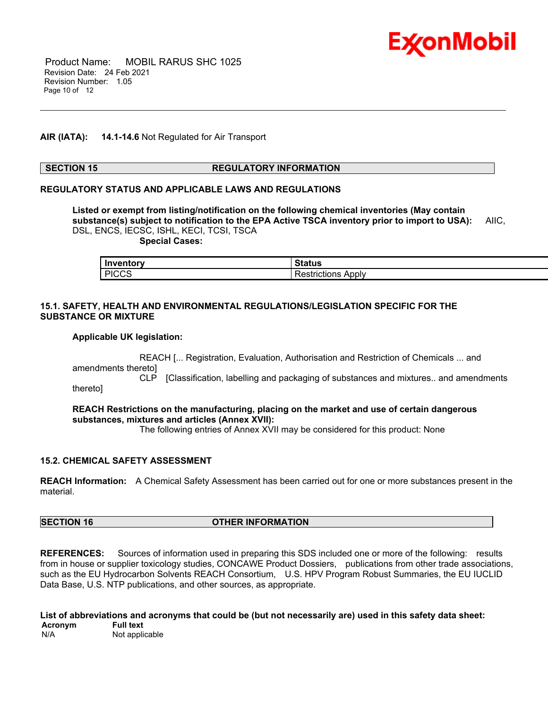

 Product Name: MOBIL RARUS SHC 1025 Revision Date: 24 Feb 2021 Revision Number: 1.05 Page 10 of 12

#### **AIR (IATA): 14.1-14.6** Not Regulated for Air Transport

#### **SECTION 15 REGULATORY INFORMATION**

\_\_\_\_\_\_\_\_\_\_\_\_\_\_\_\_\_\_\_\_\_\_\_\_\_\_\_\_\_\_\_\_\_\_\_\_\_\_\_\_\_\_\_\_\_\_\_\_\_\_\_\_\_\_\_\_\_\_\_\_\_\_\_\_\_\_\_\_\_\_\_\_\_\_\_\_\_\_\_\_\_\_\_\_\_\_\_\_\_\_\_\_\_\_\_\_\_\_\_\_\_\_\_\_\_\_\_\_\_\_\_\_\_\_\_\_\_

#### **REGULATORY STATUS AND APPLICABLE LAWS AND REGULATIONS**

**Listed or exempt from listing/notification on the following chemical inventories (May contain substance(s) subject to notification to the EPA Active TSCA inventory prior to import to USA):** AIIC, DSL, ENCS, IECSC, ISHL, KECI, TCSI, TSCA

 **Special Cases:**

| Inventory    | <b>Status</b>         |
|--------------|-----------------------|
| <b>PICCS</b> | Apply<br>Restrictions |

#### **15.1. SAFETY, HEALTH AND ENVIRONMENTAL REGULATIONS/LEGISLATION SPECIFIC FOR THE SUBSTANCE OR MIXTURE**

#### **Applicable UK legislation:**

 REACH [... Registration, Evaluation, Authorisation and Restriction of Chemicals ... and amendments thereto]

 CLP [Classification, labelling and packaging of substances and mixtures.. and amendments thereto]

#### **REACH Restrictions on the manufacturing, placing on the market and use of certain dangerous substances, mixtures and articles (Annex XVII):**

The following entries of Annex XVII may be considered for this product: None

#### **15.2. CHEMICAL SAFETY ASSESSMENT**

**REACH Information:** A Chemical Safety Assessment has been carried out for one or more substances present in the material.

### **SECTION 16 OTHER INFORMATION**

**REFERENCES:** Sources of information used in preparing this SDS included one or more of the following: results from in house or supplier toxicology studies, CONCAWE Product Dossiers, publications from other trade associations, such as the EU Hydrocarbon Solvents REACH Consortium, U.S. HPV Program Robust Summaries, the EU IUCLID Data Base, U.S. NTP publications, and other sources, as appropriate.

**List of abbreviations and acronyms that could be (but not necessarily are) used in this safety data sheet: Acronym**<br>N/A Not applicable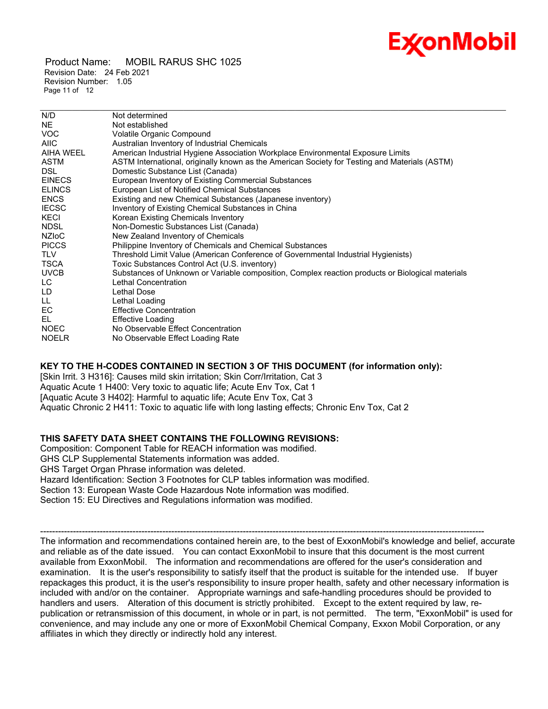## Ex⁄onMobil

 Product Name: MOBIL RARUS SHC 1025 Revision Date: 24 Feb 2021 Revision Number: 1.05 Page 11 of 12

| N/D           | Not determined                                                                                   |
|---------------|--------------------------------------------------------------------------------------------------|
| NE.           | Not established                                                                                  |
| <b>VOC</b>    | Volatile Organic Compound                                                                        |
| <b>AIIC</b>   | Australian Inventory of Industrial Chemicals                                                     |
| AIHA WEEL     | American Industrial Hygiene Association Workplace Environmental Exposure Limits                  |
| ASTM          | ASTM International, originally known as the American Society for Testing and Materials (ASTM)    |
| <b>DSL</b>    | Domestic Substance List (Canada)                                                                 |
| <b>EINECS</b> | European Inventory of Existing Commercial Substances                                             |
| <b>ELINCS</b> | European List of Notified Chemical Substances                                                    |
| <b>ENCS</b>   | Existing and new Chemical Substances (Japanese inventory)                                        |
| <b>IECSC</b>  | Inventory of Existing Chemical Substances in China                                               |
| KECI          | Korean Existing Chemicals Inventory                                                              |
| <b>NDSL</b>   | Non-Domestic Substances List (Canada)                                                            |
| <b>NZIOC</b>  | New Zealand Inventory of Chemicals                                                               |
| <b>PICCS</b>  | Philippine Inventory of Chemicals and Chemical Substances                                        |
| TLV           | Threshold Limit Value (American Conference of Governmental Industrial Hygienists)                |
| TSCA          | Toxic Substances Control Act (U.S. inventory)                                                    |
| <b>UVCB</b>   | Substances of Unknown or Variable composition, Complex reaction products or Biological materials |
| LC.           | Lethal Concentration                                                                             |
| LD            | Lethal Dose                                                                                      |
| LL.           | Lethal Loading                                                                                   |
| EC            | <b>Effective Concentration</b>                                                                   |
| EL.           | <b>Effective Loading</b>                                                                         |
| <b>NOEC</b>   | No Observable Effect Concentration                                                               |
| <b>NOELR</b>  | No Observable Effect Loading Rate                                                                |
|               |                                                                                                  |

\_\_\_\_\_\_\_\_\_\_\_\_\_\_\_\_\_\_\_\_\_\_\_\_\_\_\_\_\_\_\_\_\_\_\_\_\_\_\_\_\_\_\_\_\_\_\_\_\_\_\_\_\_\_\_\_\_\_\_\_\_\_\_\_\_\_\_\_\_\_\_\_\_\_\_\_\_\_\_\_\_\_\_\_\_\_\_\_\_\_\_\_\_\_\_\_\_\_\_\_\_\_\_\_\_\_\_\_\_\_\_\_\_\_\_\_\_

### **KEY TO THE H-CODES CONTAINED IN SECTION 3 OF THIS DOCUMENT (for information only):**

[Skin Irrit. 3 H316]: Causes mild skin irritation; Skin Corr/Irritation, Cat 3 Aquatic Acute 1 H400: Very toxic to aquatic life; Acute Env Tox, Cat 1 [Aquatic Acute 3 H402]: Harmful to aquatic life; Acute Env Tox, Cat 3 Aquatic Chronic 2 H411: Toxic to aquatic life with long lasting effects; Chronic Env Tox, Cat 2

### **THIS SAFETY DATA SHEET CONTAINS THE FOLLOWING REVISIONS:**

Composition: Component Table for REACH information was modified. GHS CLP Supplemental Statements information was added. GHS Target Organ Phrase information was deleted. Hazard Identification: Section 3 Footnotes for CLP tables information was modified. Section 13: European Waste Code Hazardous Note information was modified. Section 15: EU Directives and Regulations information was modified.

----------------------------------------------------------------------------------------------------------------------------------------------------- The information and recommendations contained herein are, to the best of ExxonMobil's knowledge and belief, accurate and reliable as of the date issued. You can contact ExxonMobil to insure that this document is the most current available from ExxonMobil. The information and recommendations are offered for the user's consideration and examination. It is the user's responsibility to satisfy itself that the product is suitable for the intended use. If buyer repackages this product, it is the user's responsibility to insure proper health, safety and other necessary information is included with and/or on the container. Appropriate warnings and safe-handling procedures should be provided to handlers and users. Alteration of this document is strictly prohibited. Except to the extent required by law, republication or retransmission of this document, in whole or in part, is not permitted. The term, "ExxonMobil" is used for convenience, and may include any one or more of ExxonMobil Chemical Company, Exxon Mobil Corporation, or any affiliates in which they directly or indirectly hold any interest.